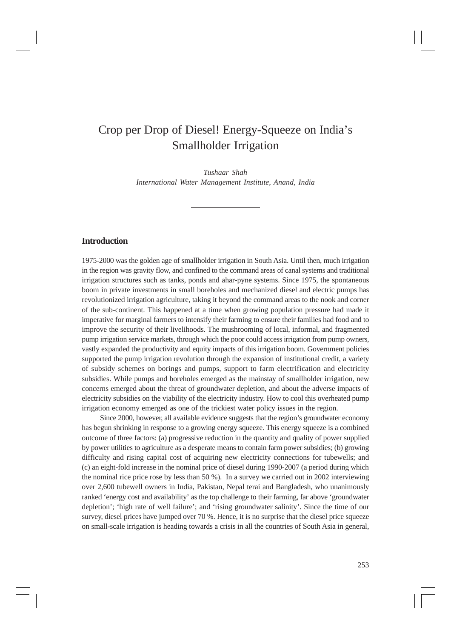# Crop per Drop of Diesel! Energy-Squeeze on India's Smallholder Irrigation

*Tushaar Shah International Water Management Institute, Anand, India*

## **Introduction**

1975-2000 was the golden age of smallholder irrigation in South Asia. Until then, much irrigation in the region was gravity flow, and confined to the command areas of canal systems and traditional irrigation structures such as tanks, ponds and ahar-pyne systems. Since 1975, the spontaneous boom in private investments in small boreholes and mechanized diesel and electric pumps has revolutionized irrigation agriculture, taking it beyond the command areas to the nook and corner of the sub-continent. This happened at a time when growing population pressure had made it imperative for marginal farmers to intensify their farming to ensure their families had food and to improve the security of their livelihoods. The mushrooming of local, informal, and fragmented pump irrigation service markets, through which the poor could access irrigation from pump owners, vastly expanded the productivity and equity impacts of this irrigation boom. Government policies supported the pump irrigation revolution through the expansion of institutional credit, a variety of subsidy schemes on borings and pumps, support to farm electrification and electricity subsidies. While pumps and boreholes emerged as the mainstay of smallholder irrigation, new concerns emerged about the threat of groundwater depletion, and about the adverse impacts of electricity subsidies on the viability of the electricity industry. How to cool this overheated pump irrigation economy emerged as one of the trickiest water policy issues in the region.

Since 2000, however, all available evidence suggests that the region's groundwater economy has begun shrinking in response to a growing energy squeeze. This energy squeeze is a combined outcome of three factors: (a) progressive reduction in the quantity and quality of power supplied by power utilities to agriculture as a desperate means to contain farm power subsidies; (b) growing difficulty and rising capital cost of acquiring new electricity connections for tubewells; and (c) an eight-fold increase in the nominal price of diesel during 1990-2007 (a period during which the nominal rice price rose by less than 50 %). In a survey we carried out in 2002 interviewing over 2,600 tubewell owners in India, Pakistan, Nepal terai and Bangladesh, who unanimously ranked 'energy cost and availability' as the top challenge to their farming, far above 'groundwater depletion'; 'high rate of well failure'; and 'rising groundwater salinity'. Since the time of our survey, diesel prices have jumped over 70 %. Hence, it is no surprise that the diesel price squeeze on small-scale irrigation is heading towards a crisis in all the countries of South Asia in general,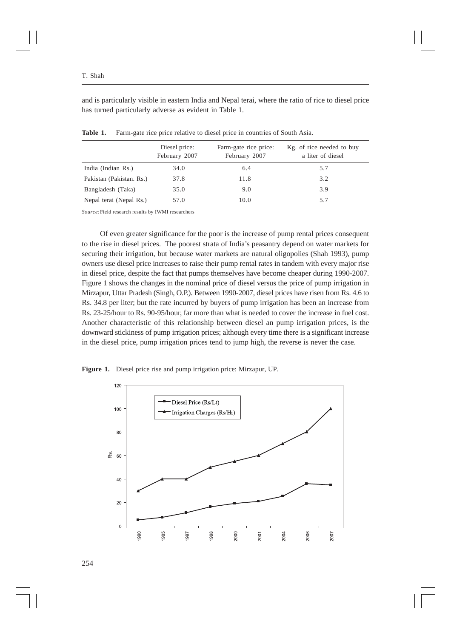and is particularly visible in eastern India and Nepal terai, where the ratio of rice to diesel price has turned particularly adverse as evident in Table 1.

|                          | Diesel price:<br>February 2007 | Farm-gate rice price:<br>February 2007 | Kg. of rice needed to buy<br>a liter of diesel |
|--------------------------|--------------------------------|----------------------------------------|------------------------------------------------|
| India (Indian Rs.)       | 34.0                           | 6.4                                    | 5.7                                            |
| Pakistan (Pakistan, Rs.) | 37.8                           | 11.8                                   | 3.2                                            |
| Bangladesh (Taka)        | 35.0                           | 9.0                                    | 3.9                                            |
| Nepal terai (Nepal Rs.)  | 57.0                           | 10.0                                   | 5.7                                            |

**Table 1.** Farm-gate rice price relative to diesel price in countries of South Asia.

*Source*:Field research results by IWMI researchers

Of even greater significance for the poor is the increase of pump rental prices consequent to the rise in diesel prices. The poorest strata of India's peasantry depend on water markets for securing their irrigation, but because water markets are natural oligopolies (Shah 1993), pump owners use diesel price increases to raise their pump rental rates in tandem with every major rise in diesel price, despite the fact that pumps themselves have become cheaper during 1990-2007. Figure 1 shows the changes in the nominal price of diesel versus the price of pump irrigation in Mirzapur, Uttar Pradesh (Singh, O.P.). Between 1990-2007, diesel prices have risen from Rs. 4.6 to Rs. 34.8 per liter; but the rate incurred by buyers of pump irrigation has been an increase from Rs. 23-25/hour to Rs. 90-95/hour, far more than what is needed to cover the increase in fuel cost. Another characteristic of this relationship between diesel an pump irrigation prices, is the downward stickiness of pump irrigation prices; although every time there is a significant increase in the diesel price, pump irrigation prices tend to jump high, the reverse is never the case.



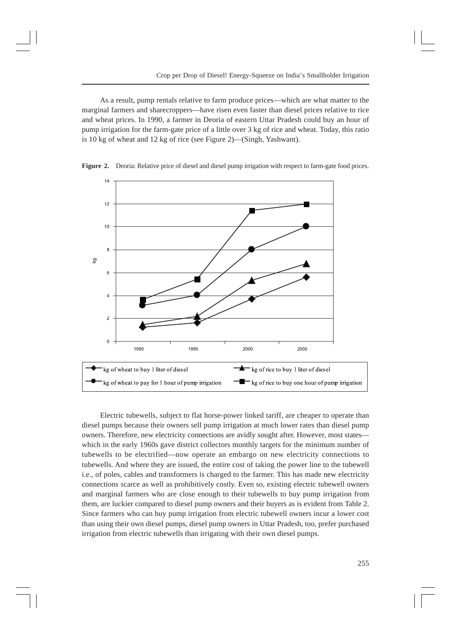As a result, pump rentals relative to farm produce prices—which are what matter to the marginal farmers and sharecroppers—have risen even faster than diesel prices relative to rice and wheat prices. In 1990, a farmer in Deoria of eastern Uttar Pradesh could buy an hour of pump irrigation for the farm-gate price of a little over 3 kg of rice and wheat. Today, this ratio is 10 kg of wheat and 12 kg of rice (see Figure 2)—(Singh, Yashwant).



**Figure 2.** Deoria: Relative price of diesel and diesel pump irrigation with respect to farm-gate food prices.

Electric tubewells, subject to flat horse-power linked tariff, are cheaper to operate than diesel pumps because their owners sell pump irrigation at much lower rates than diesel pump owners. Therefore, new electricity connections are avidly sought after. However, most states which in the early 1960s gave district collectors monthly targets for the minimum number of tubewells to be electrified—now operate an embargo on new electricity connections to tubewells. And where they are issued, the entire cost of taking the power line to the tubewell i.e., of poles, cables and transformers is charged to the farmer. This has made new electricity connections scarce as well as prohibitively costly. Even so, existing electric tubewell owners and marginal farmers who are close enough to their tubewells to buy pump irrigation from them, are luckier compared to diesel pump owners and their buyers as is evident from Table 2. Since farmers who can buy pump irrigation from electric tubewell owners incur a lower cost than using their own diesel pumps, diesel pump owners in Uttar Pradesh, too, prefer purchased irrigation from electric tubewells than irrigating with their own diesel pumps.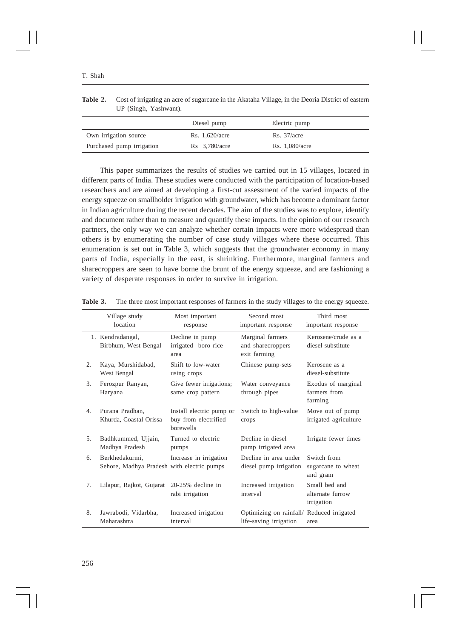|                           | Diesel pump      | Electric pump  |
|---------------------------|------------------|----------------|
| Own irrigation source     | Rs. $1,620/acre$ | Rs. 37/acre    |
| Purchased pump irrigation | $Rs$ 3,780/acre  | Rs. 1,080/acre |

| <b>Table 2.</b> Cost of irrigating an acre of sugarcane in the Akataha Village, in the Deoria District of eastern |
|-------------------------------------------------------------------------------------------------------------------|
| UP (Singh, Yashwant).                                                                                             |

This paper summarizes the results of studies we carried out in 15 villages, located in different parts of India. These studies were conducted with the participation of location-based researchers and are aimed at developing a first-cut assessment of the varied impacts of the energy squeeze on smallholder irrigation with groundwater, which has become a dominant factor in Indian agriculture during the recent decades. The aim of the studies was to explore, identify and document rather than to measure and quantify these impacts. In the opinion of our research partners, the only way we can analyze whether certain impacts were more widespread than others is by enumerating the number of case study villages where these occurred. This enumeration is set out in Table 3, which suggests that the groundwater economy in many parts of India, especially in the east, is shrinking. Furthermore, marginal farmers and sharecroppers are seen to have borne the brunt of the energy squeeze, and are fashioning a variety of desperate responses in order to survive in irrigation.

|    | Village study<br>location                                    | Most important<br>response                                    | Second most<br>important response                                   | Third most<br>important response                |
|----|--------------------------------------------------------------|---------------------------------------------------------------|---------------------------------------------------------------------|-------------------------------------------------|
|    | 1. Kendradangal,<br>Birbhum, West Bengal                     | Decline in pump<br>irrigated boro rice<br>area                | Marginal farmers<br>and sharecroppers<br>exit farming               | Kerosene/crude as a<br>diesel substitute        |
| 2. | Kaya, Murshidabad,<br>West Bengal                            | Shift to low-water<br>using crops                             | Chinese pump-sets                                                   | Kerosene as a<br>diesel-substitute              |
| 3. | Ferozpur Ranyan,<br>Haryana                                  | Give fewer irrigations;<br>same crop pattern                  | Water conveyance<br>through pipes                                   | Exodus of marginal<br>farmers from<br>farming   |
| 4. | Purana Pradhan.<br>Khurda, Coastal Orissa                    | Install electric pump or<br>buy from electrified<br>borewells | Switch to high-value<br>crops                                       | Move out of pump<br>irrigated agriculture       |
| 5. | Badhkummed, Ujjain,<br>Madhya Pradesh                        | Turned to electric<br>pumps                                   | Decline in diesel<br>pump irrigated area                            | Irrigate fewer times                            |
| 6. | Berkhedakurmi.<br>Sehore, Madhya Pradesh with electric pumps | Increase in irrigation                                        | Decline in area under<br>diesel pump irrigation                     | Switch from<br>sugarcane to wheat<br>and gram   |
| 7. | Lilapur, Rajkot, Gujarat                                     | $20-25%$ decline in<br>rabi irrigation                        | Increased irrigation<br>interval                                    | Small bed and<br>alternate furrow<br>irrigation |
| 8. | Jawrabodi, Vidarbha,<br>Maharashtra                          | Increased irrigation<br>interval                              | Optimizing on rainfall/ Reduced irrigated<br>life-saving irrigation | area                                            |

**Table 3.** The three most important responses of farmers in the study villages to the energy squeeze.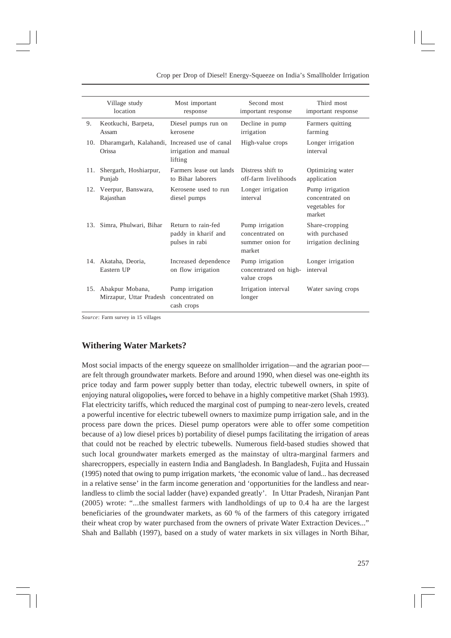|     | Village study<br>location                               | Most important<br>response                                  | Second most<br>important response                                | Third most<br>important response                               |
|-----|---------------------------------------------------------|-------------------------------------------------------------|------------------------------------------------------------------|----------------------------------------------------------------|
| 9.  | Keotkuchi, Barpeta,<br>Assam                            | Diesel pumps run on<br>kerosene                             | Decline in pump<br>irrigation                                    | Farmers quitting<br>farming                                    |
| 10. | Dharamgarh, Kalahandi, Increased use of canal<br>Orissa | irrigation and manual<br>lifting                            | High-value crops                                                 | Longer irrigation<br>interval                                  |
| 11. | Shergarh, Hoshiarpur,<br>Punjab                         | Farmers lease out lands<br>to Bihar laborers                | Distress shift to<br>off-farm livelihoods                        | Optimizing water<br>application                                |
| 12. | Veerpur, Banswara,<br>Rajasthan                         | Kerosene used to run<br>diesel pumps                        | Longer irrigation<br>interval                                    | Pump irrigation<br>concentrated on<br>vegetables for<br>market |
| 13. | Simra, Phulwari, Bihar                                  | Return to rain-fed<br>paddy in kharif and<br>pulses in rabi | Pump irrigation<br>concentrated on<br>summer onion for<br>market | Share-cropping<br>with purchased<br>irrigation declining       |
| 14. | Akataha, Deoria,<br>Eastern UP                          | Increased dependence<br>on flow irrigation                  | Pump irrigation<br>concentrated on high-<br>value crops          | Longer irrigation<br>interval                                  |
| 15. | Abakpur Mobana,<br>Mirzapur, Uttar Pradesh              | Pump irrigation<br>concentrated on<br>cash crops            | Irrigation interval<br>longer                                    | Water saving crops                                             |

*Source*: Farm survey in 15 villages

# **Withering Water Markets?**

Most social impacts of the energy squeeze on smallholder irrigation—and the agrarian poor are felt through groundwater markets. Before and around 1990, when diesel was one-eighth its price today and farm power supply better than today, electric tubewell owners, in spite of enjoying natural oligopolies**,** were forced to behave in a highly competitive market (Shah 1993). Flat electricity tariffs, which reduced the marginal cost of pumping to near-zero levels, created a powerful incentive for electric tubewell owners to maximize pump irrigation sale, and in the process pare down the prices. Diesel pump operators were able to offer some competition because of a) low diesel prices b) portability of diesel pumps facilitating the irrigation of areas that could not be reached by electric tubewells. Numerous field-based studies showed that such local groundwater markets emerged as the mainstay of ultra-marginal farmers and sharecroppers, especially in eastern India and Bangladesh. In Bangladesh, Fujita and Hussain (1995) noted that owing to pump irrigation markets, 'the economic value of land... has decreased in a relative sense' in the farm income generation and 'opportunities for the landless and nearlandless to climb the social ladder (have) expanded greatly'. In Uttar Pradesh, Niranjan Pant (2005) wrote: "...the smallest farmers with landholdings of up to 0.4 ha are the largest beneficiaries of the groundwater markets, as 60 % of the farmers of this category irrigated their wheat crop by water purchased from the owners of private Water Extraction Devices..." Shah and Ballabh (1997), based on a study of water markets in six villages in North Bihar,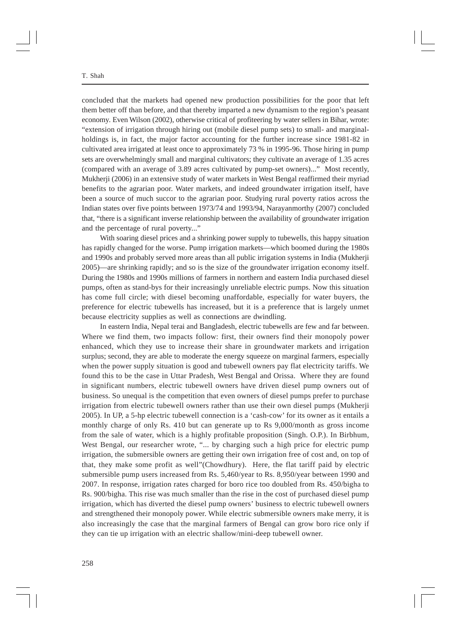concluded that the markets had opened new production possibilities for the poor that left them better off than before, and that thereby imparted a new dynamism to the region's peasant economy. Even Wilson (2002), otherwise critical of profiteering by water sellers in Bihar, wrote: "extension of irrigation through hiring out (mobile diesel pump sets) to small- and marginalholdings is, in fact, the major factor accounting for the further increase since 1981-82 in cultivated area irrigated at least once to approximately 73 % in 1995-96. Those hiring in pump sets are overwhelmingly small and marginal cultivators; they cultivate an average of 1.35 acres (compared with an average of 3.89 acres cultivated by pump-set owners)..." Most recently, Mukherji (2006) in an extensive study of water markets in West Bengal reaffirmed their myriad benefits to the agrarian poor. Water markets, and indeed groundwater irrigation itself, have been a source of much succor to the agrarian poor. Studying rural poverty ratios across the Indian states over five points between 1973/74 and 1993/94, Narayanmorthy (2007) concluded that, "there is a significant inverse relationship between the availability of groundwater irrigation and the percentage of rural poverty..."

With soaring diesel prices and a shrinking power supply to tubewells, this happy situation has rapidly changed for the worse. Pump irrigation markets—which boomed during the 1980s and 1990s and probably served more areas than all public irrigation systems in India (Mukherji 2005)—are shrinking rapidly; and so is the size of the groundwater irrigation economy itself. During the 1980s and 1990s millions of farmers in northern and eastern India purchased diesel pumps, often as stand-bys for their increasingly unreliable electric pumps. Now this situation has come full circle; with diesel becoming unaffordable, especially for water buyers, the preference for electric tubewells has increased, but it is a preference that is largely unmet because electricity supplies as well as connections are dwindling.

In eastern India, Nepal terai and Bangladesh, electric tubewells are few and far between. Where we find them, two impacts follow: first, their owners find their monopoly power enhanced, which they use to increase their share in groundwater markets and irrigation surplus; second, they are able to moderate the energy squeeze on marginal farmers, especially when the power supply situation is good and tubewell owners pay flat electricity tariffs. We found this to be the case in Uttar Pradesh, West Bengal and Orissa. Where they are found in significant numbers, electric tubewell owners have driven diesel pump owners out of business. So unequal is the competition that even owners of diesel pumps prefer to purchase irrigation from electric tubewell owners rather than use their own diesel pumps (Mukherji 2005). In UP, a 5-hp electric tubewell connection is a 'cash-cow' for its owner as it entails a monthly charge of only Rs. 410 but can generate up to Rs 9,000/month as gross income from the sale of water, which is a highly profitable proposition (Singh. O.P.). In Birbhum, West Bengal, our researcher wrote, "... by charging such a high price for electric pump irrigation, the submersible owners are getting their own irrigation free of cost and, on top of that, they make some profit as well"(Chowdhury). Here, the flat tariff paid by electric submersible pump users increased from Rs. 5,460/year to Rs. 8,950/year between 1990 and 2007. In response, irrigation rates charged for boro rice too doubled from Rs. 450/bigha to Rs. 900/bigha. This rise was much smaller than the rise in the cost of purchased diesel pump irrigation, which has diverted the diesel pump owners' business to electric tubewell owners and strengthened their monopoly power. While electric submersible owners make merry, it is also increasingly the case that the marginal farmers of Bengal can grow boro rice only if they can tie up irrigation with an electric shallow/mini-deep tubewell owner.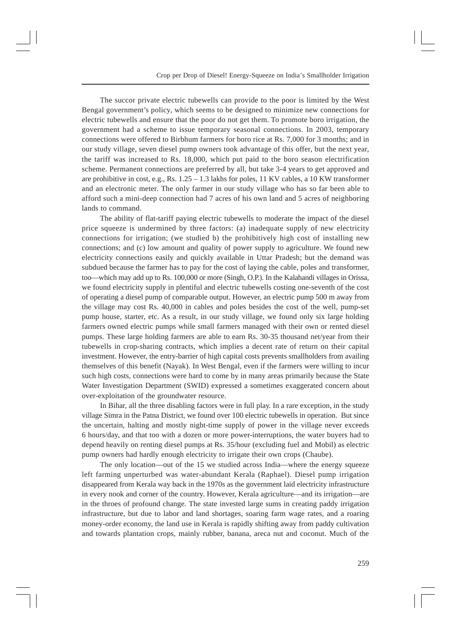The succor private electric tubewells can provide to the poor is limited by the West Bengal government's policy, which seems to be designed to minimize new connections for electric tubewells and ensure that the poor do not get them. To promote boro irrigation, the government had a scheme to issue temporary seasonal connections. In 2003, temporary connections were offered to Birbhum farmers for boro rice at Rs. 7,000 for 3 months; and in our study village, seven diesel pump owners took advantage of this offer, but the next year, the tariff was increased to Rs. 18,000, which put paid to the boro season electrification scheme. Permanent connections are preferred by all, but take 3-4 years to get approved and are prohibitive in cost, e.g., Rs.  $1.25 - 1.3$  lakhs for poles, 11 KV cables, a 10 KW transformer and an electronic meter. The only farmer in our study village who has so far been able to afford such a mini-deep connection had 7 acres of his own land and 5 acres of neighboring lands to command.

The ability of flat-tariff paying electric tubewells to moderate the impact of the diesel price squeeze is undermined by three factors: (a) inadequate supply of new electricity connections for irrigation; (we studied b) the prohibitively high cost of installing new connections; and (c) low amount and quality of power supply to agriculture. We found new electricity connections easily and quickly available in Uttar Pradesh; but the demand was subdued because the farmer has to pay for the cost of laying the cable, poles and transformer, too—which may add up to Rs. 100,000 or more (Singh, O.P.). In the Kalahandi villages in Orissa, we found electricity supply in plentiful and electric tubewells costing one-seventh of the cost of operating a diesel pump of comparable output. However, an electric pump 500 m away from the village may cost Rs. 40,000 in cables and poles besides the cost of the well, pump-set pump house, starter, etc. As a result, in our study village, we found only six large holding farmers owned electric pumps while small farmers managed with their own or rented diesel pumps. These large holding farmers are able to earn Rs. 30-35 thousand net/year from their tubewells in crop-sharing contracts, which implies a decent rate of return on their capital investment. However, the entry-barrier of high capital costs prevents smallholders from availing themselves of this benefit (Nayak). In West Bengal, even if the farmers were willing to incur such high costs, connections were hard to come by in many areas primarily because the State Water Investigation Department (SWID) expressed a sometimes exaggerated concern about over-exploitation of the groundwater resource.

In Bihar, all the three disabling factors were in full play. In a rare exception, in the study village Simra in the Patna District, we found over 100 electric tubewells in operation. But since the uncertain, halting and mostly night-time supply of power in the village never exceeds 6 hours/day, and that too with a dozen or more power-interruptions, the water buyers had to depend heavily on renting diesel pumps at Rs. 35/hour (excluding fuel and Mobil) as electric pump owners had hardly enough electricity to irrigate their own crops (Chaube).

The only location—out of the 15 we studied across India—where the energy squeeze left farming unperturbed was water-abundant Kerala (Raphael). Diesel pump irrigation disappeared from Kerala way back in the 1970s as the government laid electricity infrastructure in every nook and corner of the country. However, Kerala agriculture—and its irrigation—are in the throes of profound change. The state invested large sums in creating paddy irrigation infrastructure, but due to labor and land shortages, soaring farm wage rates, and a roaring money-order economy, the land use in Kerala is rapidly shifting away from paddy cultivation and towards plantation crops, mainly rubber, banana, areca nut and coconut. Much of the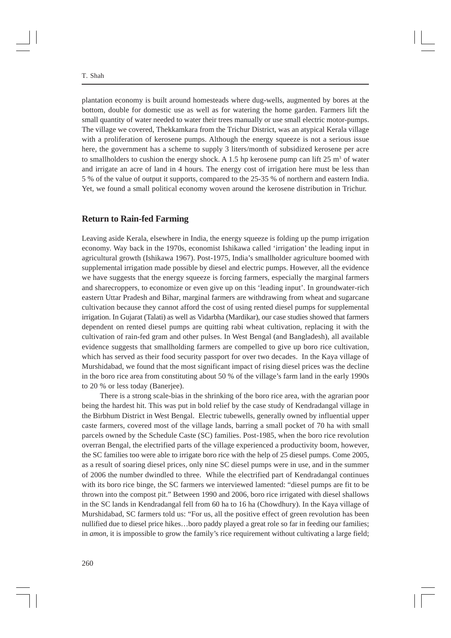plantation economy is built around homesteads where dug-wells, augmented by bores at the bottom, double for domestic use as well as for watering the home garden. Farmers lift the small quantity of water needed to water their trees manually or use small electric motor-pumps. The village we covered, Thekkamkara from the Trichur District, was an atypical Kerala village with a proliferation of kerosene pumps. Although the energy squeeze is not a serious issue here, the government has a scheme to supply 3 liters/month of subsidized kerosene per acre to smallholders to cushion the energy shock. A 1.5 hp kerosene pump can lift  $25 \text{ m}^3$  of water and irrigate an acre of land in 4 hours. The energy cost of irrigation here must be less than 5 % of the value of output it supports, compared to the 25-35 % of northern and eastern India. Yet, we found a small political economy woven around the kerosene distribution in Trichur.

#### **Return to Rain-fed Farming**

Leaving aside Kerala, elsewhere in India, the energy squeeze is folding up the pump irrigation economy. Way back in the 1970s, economist Ishikawa called 'irrigation' the leading input in agricultural growth (Ishikawa 1967). Post-1975, India's smallholder agriculture boomed with supplemental irrigation made possible by diesel and electric pumps. However, all the evidence we have suggests that the energy squeeze is forcing farmers, especially the marginal farmers and sharecroppers, to economize or even give up on this 'leading input'. In groundwater-rich eastern Uttar Pradesh and Bihar, marginal farmers are withdrawing from wheat and sugarcane cultivation because they cannot afford the cost of using rented diesel pumps for supplemental irrigation. In Gujarat (Talati) as well as Vidarbha (Mardikar), our case studies showed that farmers dependent on rented diesel pumps are quitting rabi wheat cultivation, replacing it with the cultivation of rain-fed gram and other pulses. In West Bengal (and Bangladesh), all available evidence suggests that smallholding farmers are compelled to give up boro rice cultivation, which has served as their food security passport for over two decades. In the Kaya village of Murshidabad, we found that the most significant impact of rising diesel prices was the decline in the boro rice area from constituting about 50 % of the village's farm land in the early 1990s to 20 % or less today (Banerjee).

There is a strong scale-bias in the shrinking of the boro rice area, with the agrarian poor being the hardest hit. This was put in bold relief by the case study of Kendradangal village in the Birbhum District in West Bengal. Electric tubewells, generally owned by influential upper caste farmers, covered most of the village lands, barring a small pocket of 70 ha with small parcels owned by the Schedule Caste (SC) families. Post-1985, when the boro rice revolution overran Bengal, the electrified parts of the village experienced a productivity boom, however, the SC families too were able to irrigate boro rice with the help of 25 diesel pumps. Come 2005, as a result of soaring diesel prices, only nine SC diesel pumps were in use, and in the summer of 2006 the number dwindled to three. While the electrified part of Kendradangal continues with its boro rice binge, the SC farmers we interviewed lamented: "diesel pumps are fit to be thrown into the compost pit." Between 1990 and 2006, boro rice irrigated with diesel shallows in the SC lands in Kendradangal fell from 60 ha to 16 ha (Chowdhury). In the Kaya village of Murshidabad, SC farmers told us: "For us, all the positive effect of green revolution has been nullified due to diesel price hikes…boro paddy played a great role so far in feeding our families; in *amon,* it is impossible to grow the family's rice requirement without cultivating a large field;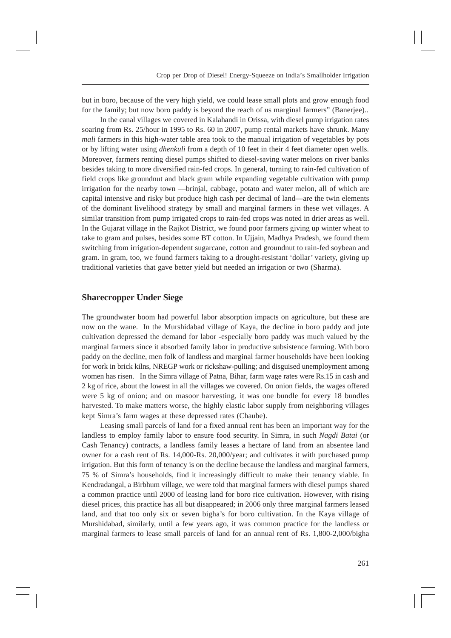but in boro, because of the very high yield, we could lease small plots and grow enough food for the family; but now boro paddy is beyond the reach of us marginal farmers" (Banerjee)..

In the canal villages we covered in Kalahandi in Orissa, with diesel pump irrigation rates soaring from Rs. 25/hour in 1995 to Rs. 60 in 2007, pump rental markets have shrunk. Many *mali* farmers in this high-water table area took to the manual irrigation of vegetables by pots or by lifting water using *dhenkuli* from a depth of 10 feet in their 4 feet diameter open wells. Moreover, farmers renting diesel pumps shifted to diesel-saving water melons on river banks besides taking to more diversified rain-fed crops. In general, turning to rain-fed cultivation of field crops like groundnut and black gram while expanding vegetable cultivation with pump irrigation for the nearby town —brinjal, cabbage, potato and water melon, all of which are capital intensive and risky but produce high cash per decimal of land—are the twin elements of the dominant livelihood strategy by small and marginal farmers in these wet villages. A similar transition from pump irrigated crops to rain-fed crops was noted in drier areas as well. In the Gujarat village in the Rajkot District, we found poor farmers giving up winter wheat to take to gram and pulses, besides some BT cotton. In Ujjain, Madhya Pradesh, we found them switching from irrigation-dependent sugarcane, cotton and groundnut to rain-fed soybean and gram. In gram, too, we found farmers taking to a drought-resistant 'dollar' variety, giving up traditional varieties that gave better yield but needed an irrigation or two (Sharma).

#### **Sharecropper Under Siege**

The groundwater boom had powerful labor absorption impacts on agriculture, but these are now on the wane. In the Murshidabad village of Kaya, the decline in boro paddy and jute cultivation depressed the demand for labor -especially boro paddy was much valued by the marginal farmers since it absorbed family labor in productive subsistence farming. With boro paddy on the decline, men folk of landless and marginal farmer households have been looking for work in brick kilns, NREGP work or rickshaw-pulling; and disguised unemployment among women has risen. In the Simra village of Patna, Bihar, farm wage rates were Rs.15 in cash and 2 kg of rice, about the lowest in all the villages we covered. On onion fields, the wages offered were 5 kg of onion; and on masoor harvesting, it was one bundle for every 18 bundles harvested. To make matters worse, the highly elastic labor supply from neighboring villages kept Simra's farm wages at these depressed rates (Chaube).

Leasing small parcels of land for a fixed annual rent has been an important way for the landless to employ family labor to ensure food security. In Simra, in such *Nagdi Batai* (or Cash Tenancy) contracts, a landless family leases a hectare of land from an absentee land owner for a cash rent of Rs. 14,000-Rs. 20,000/year; and cultivates it with purchased pump irrigation. But this form of tenancy is on the decline because the landless and marginal farmers, 75 % of Simra's households, find it increasingly difficult to make their tenancy viable. In Kendradangal, a Birbhum village, we were told that marginal farmers with diesel pumps shared a common practice until 2000 of leasing land for boro rice cultivation. However, with rising diesel prices, this practice has all but disappeared; in 2006 only three marginal farmers leased land, and that too only six or seven bigha's for boro cultivation. In the Kaya village of Murshidabad, similarly, until a few years ago, it was common practice for the landless or marginal farmers to lease small parcels of land for an annual rent of Rs. 1,800-2,000/bigha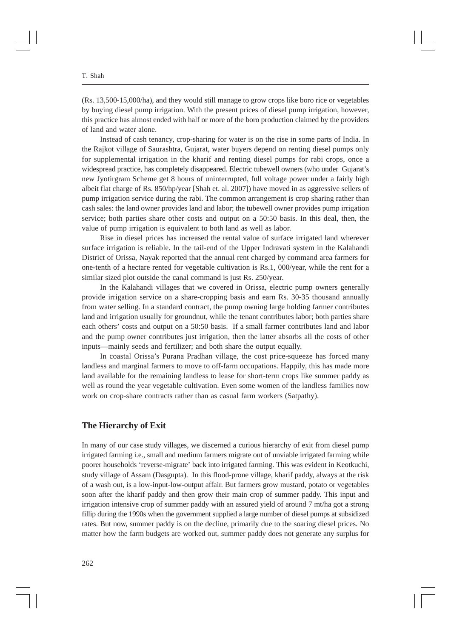(Rs. 13,500-15,000/ha), and they would still manage to grow crops like boro rice or vegetables by buying diesel pump irrigation. With the present prices of diesel pump irrigation, however, this practice has almost ended with half or more of the boro production claimed by the providers of land and water alone.

Instead of cash tenancy, crop-sharing for water is on the rise in some parts of India. In the Rajkot village of Saurashtra, Gujarat, water buyers depend on renting diesel pumps only for supplemental irrigation in the kharif and renting diesel pumps for rabi crops, once a widespread practice, has completely disappeared. Electric tubewell owners (who under Gujarat's new Jyotirgram Scheme get 8 hours of uninterrupted, full voltage power under a fairly high albeit flat charge of Rs. 850/hp/year [Shah et. al. 2007]) have moved in as aggressive sellers of pump irrigation service during the rabi. The common arrangement is crop sharing rather than cash sales: the land owner provides land and labor; the tubewell owner provides pump irrigation service; both parties share other costs and output on a 50:50 basis. In this deal, then, the value of pump irrigation is equivalent to both land as well as labor.

Rise in diesel prices has increased the rental value of surface irrigated land wherever surface irrigation is reliable. In the tail-end of the Upper Indravati system in the Kalahandi District of Orissa, Nayak reported that the annual rent charged by command area farmers for one-tenth of a hectare rented for vegetable cultivation is Rs.1, 000/year, while the rent for a similar sized plot outside the canal command is just Rs. 250/year.

In the Kalahandi villages that we covered in Orissa, electric pump owners generally provide irrigation service on a share-cropping basis and earn Rs. 30-35 thousand annually from water selling. In a standard contract, the pump owning large holding farmer contributes land and irrigation usually for groundnut, while the tenant contributes labor; both parties share each others' costs and output on a 50:50 basis. If a small farmer contributes land and labor and the pump owner contributes just irrigation, then the latter absorbs all the costs of other inputs—mainly seeds and fertilizer; and both share the output equally.

In coastal Orissa's Purana Pradhan village, the cost price-squeeze has forced many landless and marginal farmers to move to off-farm occupations. Happily, this has made more land available for the remaining landless to lease for short-term crops like summer paddy as well as round the year vegetable cultivation. Even some women of the landless families now work on crop-share contracts rather than as casual farm workers (Satpathy).

#### **The Hierarchy of Exit**

In many of our case study villages, we discerned a curious hierarchy of exit from diesel pump irrigated farming i.e., small and medium farmers migrate out of unviable irrigated farming while poorer households 'reverse-migrate' back into irrigated farming. This was evident in Keotkuchi, study village of Assam (Dasgupta). In this flood-prone village, kharif paddy, always at the risk of a wash out, is a low-input-low-output affair. But farmers grow mustard, potato or vegetables soon after the kharif paddy and then grow their main crop of summer paddy. This input and irrigation intensive crop of summer paddy with an assured yield of around 7 mt/ha got a strong fillip during the 1990s when the government supplied a large number of diesel pumps at subsidized rates. But now, summer paddy is on the decline, primarily due to the soaring diesel prices. No matter how the farm budgets are worked out, summer paddy does not generate any surplus for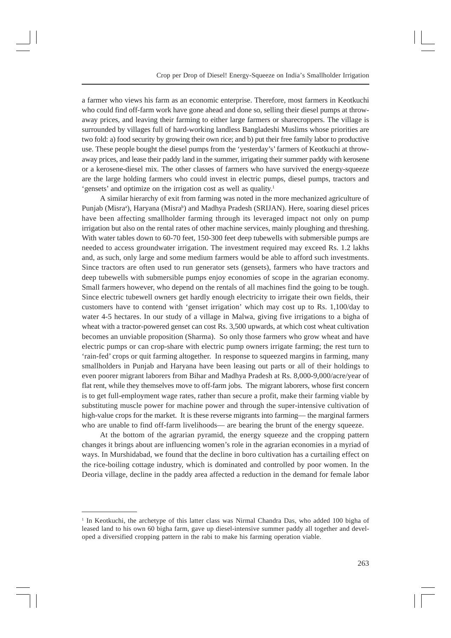a farmer who views his farm as an economic enterprise. Therefore, most farmers in Keotkuchi who could find off-farm work have gone ahead and done so, selling their diesel pumps at throwaway prices, and leaving their farming to either large farmers or sharecroppers. The village is surrounded by villages full of hard-working landless Bangladeshi Muslims whose priorities are two fold: a) food security by growing their own rice; and b) put their free family labor to productive use. These people bought the diesel pumps from the 'yesterday's' farmers of Keotkuchi at throwaway prices, and lease their paddy land in the summer, irrigating their summer paddy with kerosene or a kerosene-diesel mix. The other classes of farmers who have survived the energy-squeeze are the large holding farmers who could invest in electric pumps, diesel pumps, tractors and 'gensets' and optimize on the irrigation cost as well as quality.1

A similar hierarchy of exit from farming was noted in the more mechanized agriculture of Punjab (Misraª), Haryana (Misraʰ) and Madhya Pradesh (SRIJAN). Here, soaring diesel prices have been affecting smallholder farming through its leveraged impact not only on pump irrigation but also on the rental rates of other machine services, mainly ploughing and threshing. With water tables down to 60-70 feet, 150-300 feet deep tubewells with submersible pumps are needed to access groundwater irrigation. The investment required may exceed Rs. 1.2 lakhs and, as such, only large and some medium farmers would be able to afford such investments. Since tractors are often used to run generator sets (gensets), farmers who have tractors and deep tubewells with submersible pumps enjoy economies of scope in the agrarian economy. Small farmers however, who depend on the rentals of all machines find the going to be tough. Since electric tubewell owners get hardly enough electricity to irrigate their own fields, their customers have to contend with 'genset irrigation' which may cost up to Rs. 1,100/day to water 4-5 hectares. In our study of a village in Malwa, giving five irrigations to a bigha of wheat with a tractor-powered genset can cost Rs. 3,500 upwards, at which cost wheat cultivation becomes an unviable proposition (Sharma). So only those farmers who grow wheat and have electric pumps or can crop-share with electric pump owners irrigate farming; the rest turn to 'rain-fed' crops or quit farming altogether. In response to squeezed margins in farming, many smallholders in Punjab and Haryana have been leasing out parts or all of their holdings to even poorer migrant laborers from Bihar and Madhya Pradesh at Rs. 8,000-9,000/acre/year of flat rent, while they themselves move to off-farm jobs. The migrant laborers, whose first concern is to get full-employment wage rates, rather than secure a profit, make their farming viable by substituting muscle power for machine power and through the super-intensive cultivation of high-value crops for the market. It is these reverse migrants into farming— the marginal farmers who are unable to find off-farm livelihoods— are bearing the brunt of the energy squeeze.

At the bottom of the agrarian pyramid, the energy squeeze and the cropping pattern changes it brings about are influencing women's role in the agrarian economies in a myriad of ways. In Murshidabad, we found that the decline in boro cultivation has a curtailing effect on the rice-boiling cottage industry, which is dominated and controlled by poor women. In the Deoria village, decline in the paddy area affected a reduction in the demand for female labor

<sup>1</sup> In Keotkuchi, the archetype of this latter class was Nirmal Chandra Das, who added 100 bigha of leased land to his own 60 bigha farm, gave up diesel-intensive summer paddy all together and developed a diversified cropping pattern in the rabi to make his farming operation viable.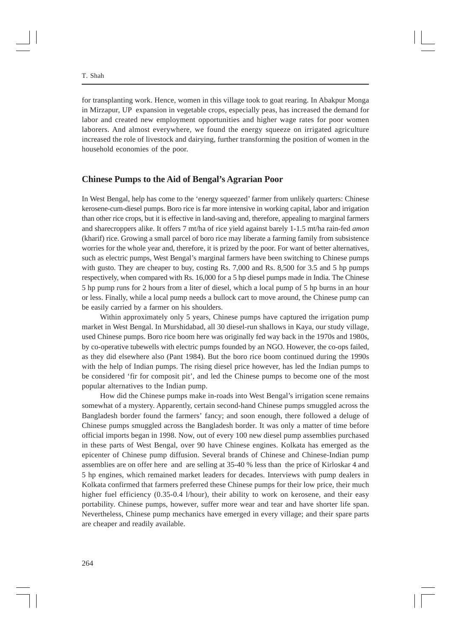for transplanting work. Hence, women in this village took to goat rearing. In Abakpur Monga in Mirzapur, UP expansion in vegetable crops, especially peas, has increased the demand for labor and created new employment opportunities and higher wage rates for poor women laborers. And almost everywhere, we found the energy squeeze on irrigated agriculture increased the role of livestock and dairying, further transforming the position of women in the household economies of the poor.

### **Chinese Pumps to the Aid of Bengal's Agrarian Poor**

In West Bengal, help has come to the 'energy squeezed' farmer from unlikely quarters: Chinese kerosene-cum-diesel pumps. Boro rice is far more intensive in working capital, labor and irrigation than other rice crops, but it is effective in land-saving and, therefore, appealing to marginal farmers and sharecroppers alike. It offers 7 mt/ha of rice yield against barely 1-1.5 mt/ha rain-fed *amon* (kharif) rice. Growing a small parcel of boro rice may liberate a farming family from subsistence worries for the whole year and, therefore, it is prized by the poor. For want of better alternatives, such as electric pumps, West Bengal's marginal farmers have been switching to Chinese pumps with gusto. They are cheaper to buy, costing Rs. 7,000 and Rs. 8,500 for 3.5 and 5 hp pumps respectively, when compared with Rs. 16,000 for a 5 hp diesel pumps made in India. The Chinese 5 hp pump runs for 2 hours from a liter of diesel, which a local pump of 5 hp burns in an hour or less. Finally, while a local pump needs a bullock cart to move around, the Chinese pump can be easily carried by a farmer on his shoulders.

Within approximately only 5 years, Chinese pumps have captured the irrigation pump market in West Bengal. In Murshidabad, all 30 diesel-run shallows in Kaya, our study village, used Chinese pumps. Boro rice boom here was originally fed way back in the 1970s and 1980s, by co-operative tubewells with electric pumps founded by an NGO. However, the co-ops failed, as they did elsewhere also (Pant 1984). But the boro rice boom continued during the 1990s with the help of Indian pumps. The rising diesel price however, has led the Indian pumps to be considered 'fir for composit pit', and led the Chinese pumps to become one of the most popular alternatives to the Indian pump.

How did the Chinese pumps make in-roads into West Bengal's irrigation scene remains somewhat of a mystery. Apparently, certain second-hand Chinese pumps smuggled across the Bangladesh border found the farmers' fancy; and soon enough, there followed a deluge of Chinese pumps smuggled across the Bangladesh border. It was only a matter of time before official imports began in 1998. Now, out of every 100 new diesel pump assemblies purchased in these parts of West Bengal, over 90 have Chinese engines. Kolkata has emerged as the epicenter of Chinese pump diffusion. Several brands of Chinese and Chinese-Indian pump assemblies are on offer here and are selling at 35-40 % less than the price of Kirloskar 4 and 5 hp engines, which remained market leaders for decades. Interviews with pump dealers in Kolkata confirmed that farmers preferred these Chinese pumps for their low price, their much higher fuel efficiency (0.35-0.4 l/hour), their ability to work on kerosene, and their easy portability. Chinese pumps, however, suffer more wear and tear and have shorter life span. Nevertheless, Chinese pump mechanics have emerged in every village; and their spare parts are cheaper and readily available.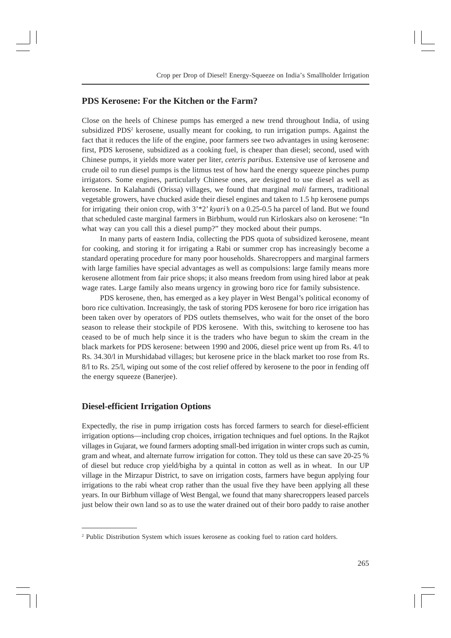## **PDS Kerosene: For the Kitchen or the Farm?**

Close on the heels of Chinese pumps has emerged a new trend throughout India, of using subsidized PDS<sup>2</sup> kerosene, usually meant for cooking, to run irrigation pumps. Against the fact that it reduces the life of the engine, poor farmers see two advantages in using kerosene: first, PDS kerosene, subsidized as a cooking fuel, is cheaper than diesel; second, used with Chinese pumps, it yields more water per liter, *ceteris paribus*. Extensive use of kerosene and crude oil to run diesel pumps is the litmus test of how hard the energy squeeze pinches pump irrigators. Some engines, particularly Chinese ones, are designed to use diesel as well as kerosene. In Kalahandi (Orissa) villages, we found that marginal *mali* farmers, traditional vegetable growers, have chucked aside their diesel engines and taken to 1.5 hp kerosene pumps for irrigating their onion crop, with 3'\*2' *kyari's* on a 0.25-0.5 ha parcel of land. But we found that scheduled caste marginal farmers in Birbhum, would run Kirloskars also on kerosene: "In what way can you call this a diesel pump?" they mocked about their pumps.

In many parts of eastern India, collecting the PDS quota of subsidized kerosene, meant for cooking, and storing it for irrigating a Rabi or summer crop has increasingly become a standard operating procedure for many poor households. Sharecroppers and marginal farmers with large families have special advantages as well as compulsions: large family means more kerosene allotment from fair price shops; it also means freedom from using hired labor at peak wage rates. Large family also means urgency in growing boro rice for family subsistence.

PDS kerosene, then, has emerged as a key player in West Bengal's political economy of boro rice cultivation. Increasingly, the task of storing PDS kerosene for boro rice irrigation has been taken over by operators of PDS outlets themselves, who wait for the onset of the boro season to release their stockpile of PDS kerosene. With this, switching to kerosene too has ceased to be of much help since it is the traders who have begun to skim the cream in the black markets for PDS kerosene: between 1990 and 2006, diesel price went up from Rs. 4/l to Rs. 34.30/l in Murshidabad villages; but kerosene price in the black market too rose from Rs. 8/l to Rs. 25/l, wiping out some of the cost relief offered by kerosene to the poor in fending off the energy squeeze (Banerjee).

# **Diesel-efficient Irrigation Options**

Expectedly, the rise in pump irrigation costs has forced farmers to search for diesel-efficient irrigation options—including crop choices, irrigation techniques and fuel options. In the Rajkot villages in Gujarat, we found farmers adopting small-bed irrigation in winter crops such as cumin, gram and wheat, and alternate furrow irrigation for cotton. They told us these can save 20-25 % of diesel but reduce crop yield/bigha by a quintal in cotton as well as in wheat. In our UP village in the Mirzapur District, to save on irrigation costs, farmers have begun applying four irrigations to the rabi wheat crop rather than the usual five they have been applying all these years. In our Birbhum village of West Bengal, we found that many sharecroppers leased parcels just below their own land so as to use the water drained out of their boro paddy to raise another

<sup>&</sup>lt;sup>2</sup> Public Distribution System which issues kerosene as cooking fuel to ration card holders.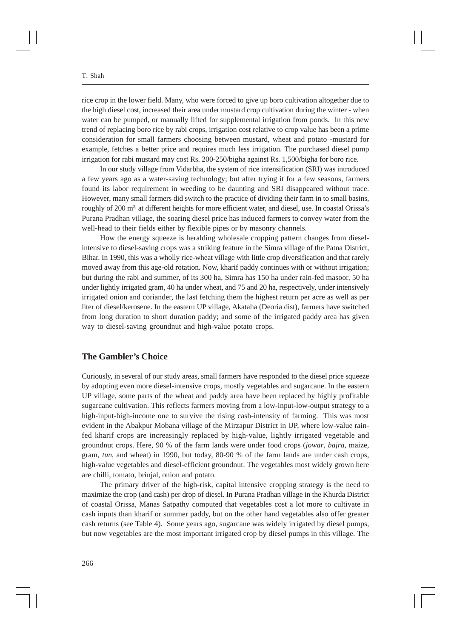rice crop in the lower field. Many, who were forced to give up boro cultivation altogether due to the high diesel cost, increased their area under mustard crop cultivation during the winter - when water can be pumped, or manually lifted for supplemental irrigation from ponds. In this new trend of replacing boro rice by rabi crops, irrigation cost relative to crop value has been a prime consideration for small farmers choosing between mustard, wheat and potato -mustard for example, fetches a better price and requires much less irrigation. The purchased diesel pump irrigation for rabi mustard may cost Rs. 200-250/bigha against Rs. 1,500/bigha for boro rice.

In our study village from Vidarbha, the system of rice intensification (SRI) was introduced a few years ago as a water-saving technology; but after trying it for a few seasons, farmers found its labor requirement in weeding to be daunting and SRI disappeared without trace. However, many small farmers did switch to the practice of dividing their farm in to small basins, roughly of 200 m<sup>2</sup> at different heights for more efficient water, and diesel, use. In coastal Orissa's Purana Pradhan village, the soaring diesel price has induced farmers to convey water from the well-head to their fields either by flexible pipes or by masonry channels.

How the energy squeeze is heralding wholesale cropping pattern changes from dieselintensive to diesel-saving crops was a striking feature in the Simra village of the Patna District, Bihar. In 1990, this was a wholly rice-wheat village with little crop diversification and that rarely moved away from this age-old rotation. Now, kharif paddy continues with or without irrigation; but during the rabi and summer, of its 300 ha, Simra has 150 ha under rain-fed masoor, 50 ha under lightly irrigated gram, 40 ha under wheat, and 75 and 20 ha, respectively, under intensively irrigated onion and coriander, the last fetching them the highest return per acre as well as per liter of diesel/kerosene. In the eastern UP village, Akataha (Deoria dist), farmers have switched from long duration to short duration paddy; and some of the irrigated paddy area has given way to diesel-saving groundnut and high-value potato crops.

#### **The Gambler's Choice**

Curiously, in several of our study areas, small farmers have responded to the diesel price squeeze by adopting even more diesel-intensive crops, mostly vegetables and sugarcane. In the eastern UP village, some parts of the wheat and paddy area have been replaced by highly profitable sugarcane cultivation. This reflects farmers moving from a low-input-low-output strategy to a high-input-high-income one to survive the rising cash-intensity of farming. This was most evident in the Abakpur Mobana village of the Mirzapur District in UP, where low-value rainfed kharif crops are increasingly replaced by high-value, lightly irrigated vegetable and groundnut crops. Here, 90 % of the farm lands were under food crops (*jowar*, *bajra*, maize, gram, *tun*, and wheat) in 1990, but today, 80-90 % of the farm lands are under cash crops, high-value vegetables and diesel-efficient groundnut. The vegetables most widely grown here are chilli, tomato, brinjal, onion and potato.

The primary driver of the high-risk, capital intensive cropping strategy is the need to maximize the crop (and cash) per drop of diesel. In Purana Pradhan village in the Khurda District of coastal Orissa, Manas Satpathy computed that vegetables cost a lot more to cultivate in cash inputs than kharif or summer paddy, but on the other hand vegetables also offer greater cash returns (see Table 4). Some years ago, sugarcane was widely irrigated by diesel pumps, but now vegetables are the most important irrigated crop by diesel pumps in this village. The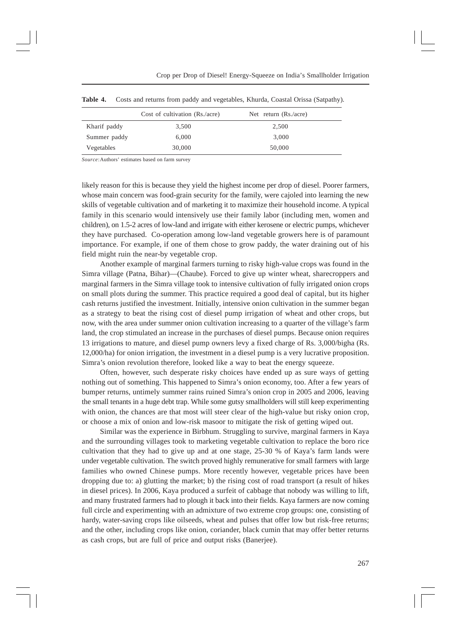|              | Cost of cultivation (Rs./acre) | Net return $(Rs / \text{acre})$ |
|--------------|--------------------------------|---------------------------------|
| Kharif paddy | 3.500                          | 2,500                           |
| Summer paddy | 6.000                          | 3.000                           |
| Vegetables   | 30,000                         | 50,000                          |

**Table 4.** Costs and returns from paddy and vegetables, Khurda, Coastal Orissa (Satpathy).

*Source*:Authors' estimates based on farm survey

likely reason for this is because they yield the highest income per drop of diesel. Poorer farmers, whose main concern was food-grain security for the family, were cajoled into learning the new skills of vegetable cultivation and of marketing it to maximize their household income. A typical family in this scenario would intensively use their family labor (including men, women and children), on 1.5-2 acres of low-land and irrigate with either kerosene or electric pumps, whichever they have purchased. Co-operation among low-land vegetable growers here is of paramount importance. For example, if one of them chose to grow paddy, the water draining out of his field might ruin the near-by vegetable crop.

Another example of marginal farmers turning to risky high-value crops was found in the Simra village (Patna, Bihar)—(Chaube). Forced to give up winter wheat, sharecroppers and marginal farmers in the Simra village took to intensive cultivation of fully irrigated onion crops on small plots during the summer. This practice required a good deal of capital, but its higher cash returns justified the investment. Initially, intensive onion cultivation in the summer began as a strategy to beat the rising cost of diesel pump irrigation of wheat and other crops, but now, with the area under summer onion cultivation increasing to a quarter of the village's farm land, the crop stimulated an increase in the purchases of diesel pumps. Because onion requires 13 irrigations to mature, and diesel pump owners levy a fixed charge of Rs. 3,000/bigha (Rs. 12,000/ha) for onion irrigation, the investment in a diesel pump is a very lucrative proposition. Simra's onion revolution therefore, looked like a way to beat the energy squeeze.

Often, however, such desperate risky choices have ended up as sure ways of getting nothing out of something. This happened to Simra's onion economy, too. After a few years of bumper returns, untimely summer rains ruined Simra's onion crop in 2005 and 2006, leaving the small tenants in a huge debt trap. While some gutsy smallholders will still keep experimenting with onion, the chances are that most will steer clear of the high-value but risky onion crop, or choose a mix of onion and low-risk masoor to mitigate the risk of getting wiped out.

Similar was the experience in Birbhum. Struggling to survive, marginal farmers in Kaya and the surrounding villages took to marketing vegetable cultivation to replace the boro rice cultivation that they had to give up and at one stage, 25-30 % of Kaya's farm lands were under vegetable cultivation. The switch proved highly remunerative for small farmers with large families who owned Chinese pumps. More recently however, vegetable prices have been dropping due to: a) glutting the market; b) the rising cost of road transport (a result of hikes in diesel prices). In 2006, Kaya produced a surfeit of cabbage that nobody was willing to lift, and many frustrated farmers had to plough it back into their fields. Kaya farmers are now coming full circle and experimenting with an admixture of two extreme crop groups: one, consisting of hardy, water-saving crops like oilseeds, wheat and pulses that offer low but risk-free returns; and the other, including crops like onion, coriander, black cumin that may offer better returns as cash crops, but are full of price and output risks (Banerjee).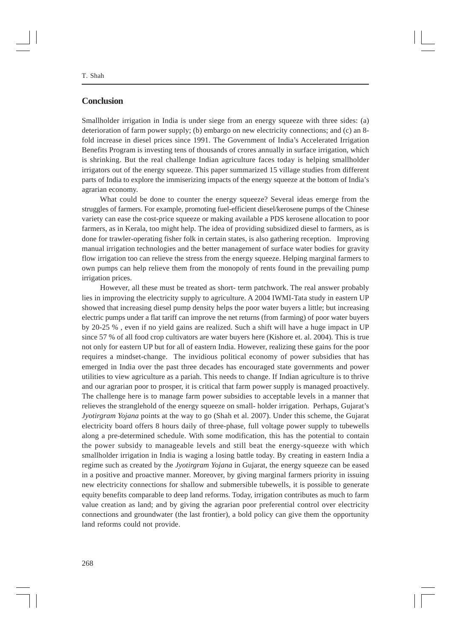# **Conclusion**

Smallholder irrigation in India is under siege from an energy squeeze with three sides: (a) deterioration of farm power supply; (b) embargo on new electricity connections; and (c) an 8 fold increase in diesel prices since 1991. The Government of India's Accelerated Irrigation Benefits Program is investing tens of thousands of crores annually in surface irrigation, which is shrinking. But the real challenge Indian agriculture faces today is helping smallholder irrigators out of the energy squeeze. This paper summarized 15 village studies from different parts of India to explore the immiserizing impacts of the energy squeeze at the bottom of India's agrarian economy.

What could be done to counter the energy squeeze? Several ideas emerge from the struggles of farmers. For example, promoting fuel-efficient diesel/kerosene pumps of the Chinese variety can ease the cost-price squeeze or making available a PDS kerosene allocation to poor farmers, as in Kerala, too might help. The idea of providing subsidized diesel to farmers, as is done for trawler-operating fisher folk in certain states, is also gathering reception. Improving manual irrigation technologies and the better management of surface water bodies for gravity flow irrigation too can relieve the stress from the energy squeeze. Helping marginal farmers to own pumps can help relieve them from the monopoly of rents found in the prevailing pump irrigation prices.

However, all these must be treated as short- term patchwork. The real answer probably lies in improving the electricity supply to agriculture. A 2004 IWMI-Tata study in eastern UP showed that increasing diesel pump density helps the poor water buyers a little; but increasing electric pumps under a flat tariff can improve the net returns (from farming) of poor water buyers by 20-25 % , even if no yield gains are realized. Such a shift will have a huge impact in UP since 57 % of all food crop cultivators are water buyers here (Kishore et. al. 2004). This is true not only for eastern UP but for all of eastern India. However, realizing these gains for the poor requires a mindset-change. The invidious political economy of power subsidies that has emerged in India over the past three decades has encouraged state governments and power utilities to view agriculture as a pariah. This needs to change. If Indian agriculture is to thrive and our agrarian poor to prosper, it is critical that farm power supply is managed proactively. The challenge here is to manage farm power subsidies to acceptable levels in a manner that relieves the stranglehold of the energy squeeze on small- holder irrigation. Perhaps, Gujarat's *Jyotirgram Yojana* points at the way to go (Shah et al. 2007). Under this scheme, the Gujarat electricity board offers 8 hours daily of three-phase, full voltage power supply to tubewells along a pre-determined schedule. With some modification, this has the potential to contain the power subsidy to manageable levels and still beat the energy-squeeze with which smallholder irrigation in India is waging a losing battle today. By creating in eastern India a regime such as created by the *Jyotirgram Yojana* in Gujarat, the energy squeeze can be eased in a positive and proactive manner. Moreover, by giving marginal farmers priority in issuing new electricity connections for shallow and submersible tubewells, it is possible to generate equity benefits comparable to deep land reforms. Today, irrigation contributes as much to farm value creation as land; and by giving the agrarian poor preferential control over electricity connections and groundwater (the last frontier), a bold policy can give them the opportunity land reforms could not provide.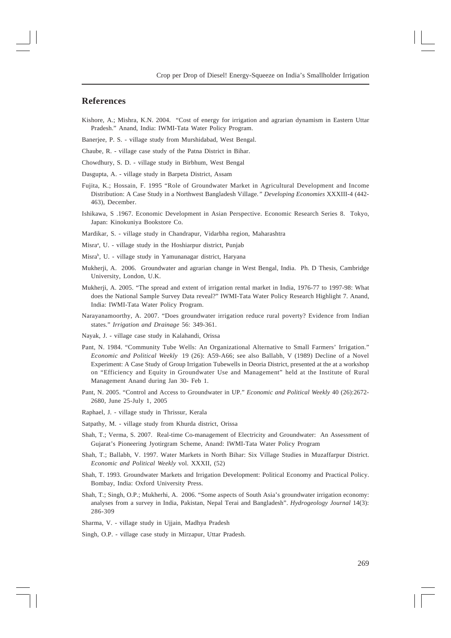#### **References**

- Kishore, A.; Mishra, K.N. 2004. "Cost of energy for irrigation and agrarian dynamism in Eastern Uttar Pradesh." Anand, India: IWMI-Tata Water Policy Program.
- Banerjee, P. S. village study from Murshidabad, West Bengal.
- Chaube, R. village case study of the Patna District in Bihar.
- Chowdhury, S. D. village study in Birbhum, West Bengal
- Dasgupta, A. village study in Barpeta District, Assam
- Fujita, K.; Hossain, F. 1995 "Role of Groundwater Market in Agricultural Development and Income Distribution: A Case Study in a Northwest Bangladesh Village*." Developing Economies* XXXIII-4 (442- 463), December.
- Ishikawa, S .1967. Economic Development in Asian Perspective. Economic Research Series 8. Tokyo, Japan: Kinokuniya Bookstore Co.
- Mardikar, S. village study in Chandrapur, Vidarbha region, Maharashtra
- Misra<sup>a</sup>, U. village study in the Hoshiarpur district, Punjab
- Misrab , U. village study in Yamunanagar district, Haryana
- Mukherji, A. 2006. Groundwater and agrarian change in West Bengal, India. Ph. D Thesis, Cambridge University, London, U.K.
- Mukherji, A. 2005. "The spread and extent of irrigation rental market in India, 1976-77 to 1997-98: What does the National Sample Survey Data reveal?" IWMI-Tata Water Policy Research Highlight 7. Anand, India: IWMI-Tata Water Policy Program.
- Narayanamoorthy, A. 2007. "Does groundwater irrigation reduce rural poverty? Evidence from Indian states." *Irrigation and Drainage* 56: 349-361.
- Nayak, J. village case study in Kalahandi, Orissa
- Pant, N. 1984. "Community Tube Wells: An Organizational Alternative to Small Farmers' Irrigation." *Economic and Political Weekly* 19 (26): A59-A66; see also Ballabh, V (1989) Decline of a Novel Experiment: A Case Study of Group Irrigation Tubewells in Deoria District, presented at the at a workshop on "Efficiency and Equity in Groundwater Use and Management" held at the Institute of Rural Management Anand during Jan 30- Feb 1.
- Pant, N. 2005. "Control and Access to Groundwater in UP." *Economic and Political Weekly* 40 (26):2672- 2680, June 25-July 1, 2005
- Raphael, J. village study in Thrissur, Kerala
- Satpathy, M. village study from Khurda district, Orissa
- Shah, T.; Verma, S. 2007. Real-time Co-management of Electricity and Groundwater: An Assessment of Gujarat's Pioneering Jyotirgram Scheme, Anand: IWMI-Tata Water Policy Program
- Shah, T.; Ballabh, V. 1997. Water Markets in North Bihar: Six Village Studies in Muzaffarpur District. *Economic and Political Weekly* vol. XXXII, (52)
- Shah, T. 1993. Groundwater Markets and Irrigation Development: Political Economy and Practical Policy. Bombay, India: Oxford University Press.
- Shah, T.; Singh, O.P.; Mukherhi, A. 2006. "Some aspects of South Asia's groundwater irrigation economy: analyses from a survey in India, Pakistan, Nepal Terai and Bangladesh". *Hydrogeology Journal* 14(3): 286-309
- Sharma, V. village study in Ujjain, Madhya Pradesh
- Singh, O.P. village case study in Mirzapur, Uttar Pradesh.